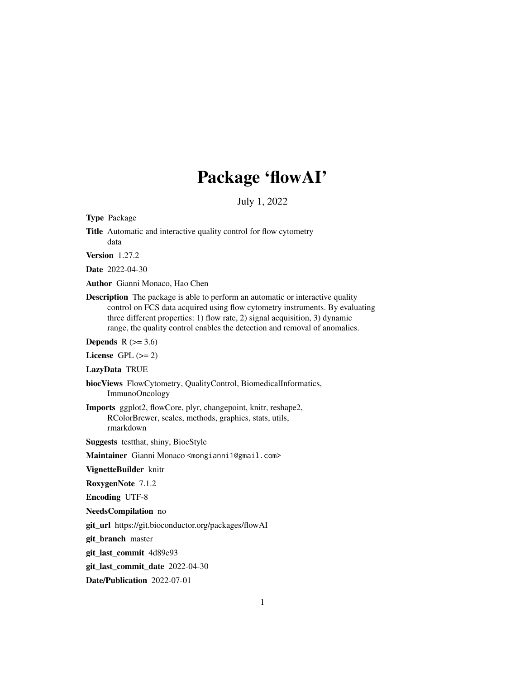# Package 'flowAI'

July 1, 2022

Title Automatic and interactive quality control for flow cytometry data Version 1.27.2 Date 2022-04-30 Author Gianni Monaco, Hao Chen Description The package is able to perform an automatic or interactive quality control on FCS data acquired using flow cytometry instruments. By evaluating three different properties: 1) flow rate, 2) signal acquisition, 3) dynamic range, the quality control enables the detection and removal of anomalies. Depends  $R$  ( $>= 3.6$ ) License GPL  $(>= 2)$ LazyData TRUE biocViews FlowCytometry, QualityControl, BiomedicalInformatics, ImmunoOncology Imports ggplot2, flowCore, plyr, changepoint, knitr, reshape2, RColorBrewer, scales, methods, graphics, stats, utils, rmarkdown Suggests testthat, shiny, BiocStyle Maintainer Gianni Monaco <mongianni1@gmail.com> VignetteBuilder knitr RoxygenNote 7.1.2 Encoding UTF-8 NeedsCompilation no git\_url https://git.bioconductor.org/packages/flowAI git branch master git\_last\_commit 4d89e93 git\_last\_commit\_date 2022-04-30

Date/Publication 2022-07-01

Type Package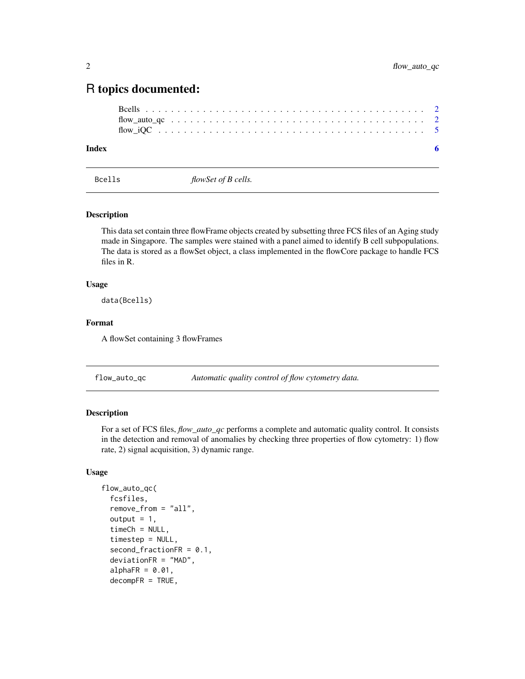# <span id="page-1-0"></span>R topics documented:

# **Index** [6](#page-5-0) **6**

Bcells *flowSet of B cells.*

# Description

This data set contain three flowFrame objects created by subsetting three FCS files of an Aging study made in Singapore. The samples were stained with a panel aimed to identify B cell subpopulations. The data is stored as a flowSet object, a class implemented in the flowCore package to handle FCS files in R.

### Usage

data(Bcells)

#### Format

A flowSet containing 3 flowFrames

flow\_auto\_qc *Automatic quality control of flow cytometry data.*

# Description

For a set of FCS files, *flow\_auto\_qc* performs a complete and automatic quality control. It consists in the detection and removal of anomalies by checking three properties of flow cytometry: 1) flow rate, 2) signal acquisition, 3) dynamic range.

# Usage

```
flow_auto_qc(
  fcsfiles,
  remove_from = "all",
  output = 1,
  timeCh = NULL,timestep = NULL,
  second_fractionFR = 0.1,
  deviationFR = "MAD",
  alphaFR = 0.01,
  decompFR = TRUE,
```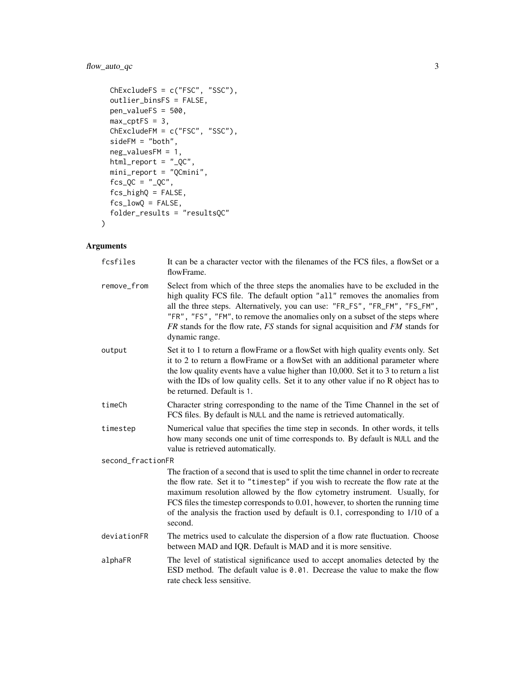# flow\_auto\_qc 3

```
ChExcludeFS = c("FSC", "SSC"),
outlier_binsFS = FALSE,
pen_valueFS = 500,
max_cptFS = 3,
ChExcludeFM = c("FSC", "SSC"),sideFM = "both",
neg_valuesFM = 1,
html_report = "_QC",
mini_report = "QCmini",
fcs_QC = "QC",fcs_highQ = FALSE,
fcs_lowQ = FALSE,
folder_results = "resultsQC"
```
# Arguments

 $\mathcal{L}$ 

| fcsfiles          | It can be a character vector with the filenames of the FCS files, a flowSet or a<br>flowFrame.                                                                                                                                                                                                                                                                                                                                          |
|-------------------|-----------------------------------------------------------------------------------------------------------------------------------------------------------------------------------------------------------------------------------------------------------------------------------------------------------------------------------------------------------------------------------------------------------------------------------------|
| remove_from       | Select from which of the three steps the anomalies have to be excluded in the<br>high quality FCS file. The default option "all" removes the anomalies from<br>all the three steps. Alternatively, you can use: "FR_FS", "FR_FM", "FS_FM",<br>"FR", "FS", "FM", to remove the anomalies only on a subset of the steps where<br>$FR$ stands for the flow rate, $FS$ stands for signal acquisition and $FM$ stands for<br>dynamic range.  |
| output            | Set it to 1 to return a flowFrame or a flowSet with high quality events only. Set<br>it to 2 to return a flowFrame or a flowSet with an additional parameter where<br>the low quality events have a value higher than 10,000. Set it to 3 to return a list<br>with the IDs of low quality cells. Set it to any other value if no R object has to<br>be returned. Default is 1.                                                          |
| timeCh            | Character string corresponding to the name of the Time Channel in the set of<br>FCS files. By default is NULL and the name is retrieved automatically.                                                                                                                                                                                                                                                                                  |
| timestep          | Numerical value that specifies the time step in seconds. In other words, it tells<br>how many seconds one unit of time corresponds to. By default is NULL and the<br>value is retrieved automatically.                                                                                                                                                                                                                                  |
| second_fractionFR |                                                                                                                                                                                                                                                                                                                                                                                                                                         |
|                   | The fraction of a second that is used to split the time channel in order to recreate<br>the flow rate. Set it to "timestep" if you wish to recreate the flow rate at the<br>maximum resolution allowed by the flow cytometry instrument. Usually, for<br>FCS files the timestep corresponds to 0.01, however, to shorten the running time<br>of the analysis the fraction used by default is 0.1, corresponding to 1/10 of a<br>second. |
| deviationFR       | The metrics used to calculate the dispersion of a flow rate fluctuation. Choose<br>between MAD and IQR. Default is MAD and it is more sensitive.                                                                                                                                                                                                                                                                                        |
| alphaFR           | The level of statistical significance used to accept anomalies detected by the<br>ESD method. The default value is 0.01. Decrease the value to make the flow<br>rate check less sensitive.                                                                                                                                                                                                                                              |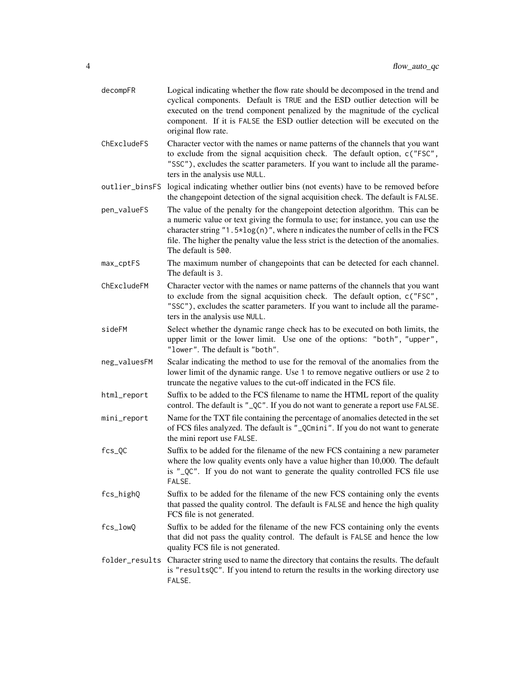| decompFR       | Logical indicating whether the flow rate should be decomposed in the trend and<br>cyclical components. Default is TRUE and the ESD outlier detection will be<br>executed on the trend component penalized by the magnitude of the cyclical<br>component. If it is FALSE the ESD outlier detection will be executed on the<br>original flow rate.                        |
|----------------|-------------------------------------------------------------------------------------------------------------------------------------------------------------------------------------------------------------------------------------------------------------------------------------------------------------------------------------------------------------------------|
| ChExcludeFS    | Character vector with the names or name patterns of the channels that you want<br>to exclude from the signal acquisition check. The default option, c("FSC",<br>"SSC"), excludes the scatter parameters. If you want to include all the parame-<br>ters in the analysis use NULL.                                                                                       |
| outlier_binsFS | logical indicating whether outlier bins (not events) have to be removed before<br>the changepoint detection of the signal acquisition check. The default is FALSE.                                                                                                                                                                                                      |
| pen_valueFS    | The value of the penalty for the changepoint detection algorithm. This can be<br>a numeric value or text giving the formula to use; for instance, you can use the<br>character string $"1.5*log(n)"$ , where n indicates the number of cells in the FCS<br>file. The higher the penalty value the less strict is the detection of the anomalies.<br>The default is 500. |
| max_cptFS      | The maximum number of changepoints that can be detected for each channel.<br>The default is 3.                                                                                                                                                                                                                                                                          |
| ChExcludeFM    | Character vector with the names or name patterns of the channels that you want<br>to exclude from the signal acquisition check. The default option, c("FSC",<br>"SSC"), excludes the scatter parameters. If you want to include all the parame-<br>ters in the analysis use NULL.                                                                                       |
| sideFM         | Select whether the dynamic range check has to be executed on both limits, the<br>upper limit or the lower limit. Use one of the options: "both", "upper",<br>"lower". The default is "both".                                                                                                                                                                            |
| neg_valuesFM   | Scalar indicating the method to use for the removal of the anomalies from the<br>lower limit of the dynamic range. Use 1 to remove negative outliers or use 2 to<br>truncate the negative values to the cut-off indicated in the FCS file.                                                                                                                              |
| html_report    | Suffix to be added to the FCS filename to name the HTML report of the quality<br>control. The default is "_QC". If you do not want to generate a report use FALSE.                                                                                                                                                                                                      |
| mini_report    | Name for the TXT file containing the percentage of anomalies detected in the set<br>of FCS files analyzed. The default is "_QCmini". If you do not want to generate<br>the mini report use FALSE.                                                                                                                                                                       |
| $fcs_QC$       | Suffix to be added for the filename of the new FCS containing a new parameter<br>where the low quality events only have a value higher than 10,000. The default<br>is " QC". If you do not want to generate the quality controlled FCS file use<br>FALSE.                                                                                                               |
| fcs_highQ      | Suffix to be added for the filename of the new FCS containing only the events<br>that passed the quality control. The default is FALSE and hence the high quality<br>FCS file is not generated.                                                                                                                                                                         |
| fcs_lowQ       | Suffix to be added for the filename of the new FCS containing only the events<br>that did not pass the quality control. The default is FALSE and hence the low<br>quality FCS file is not generated.                                                                                                                                                                    |
| folder_results | Character string used to name the directory that contains the results. The default<br>is "resultsQC". If you intend to return the results in the working directory use<br>FALSE.                                                                                                                                                                                        |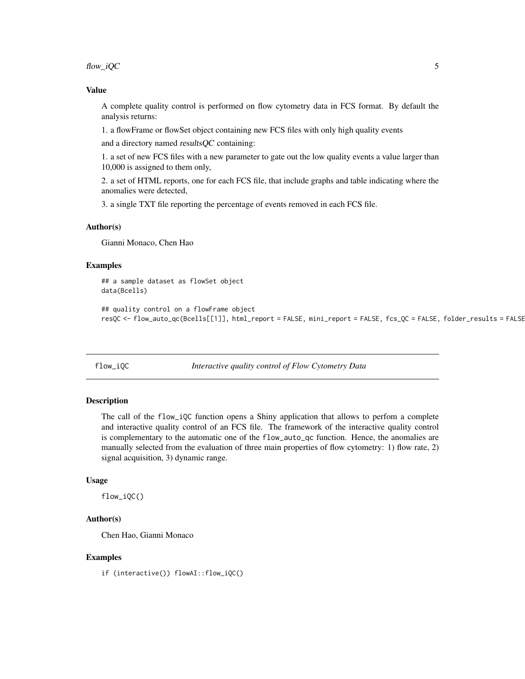<span id="page-4-0"></span> $flow\_iQC$  5

#### Value

A complete quality control is performed on flow cytometry data in FCS format. By default the analysis returns:

1. a flowFrame or flowSet object containing new FCS files with only high quality events

and a directory named resultsQC containing:

1. a set of new FCS files with a new parameter to gate out the low quality events a value larger than 10,000 is assigned to them only,

2. a set of HTML reports, one for each FCS file, that include graphs and table indicating where the anomalies were detected,

3. a single TXT file reporting the percentage of events removed in each FCS file.

# Author(s)

Gianni Monaco, Chen Hao

# Examples

```
## a sample dataset as flowSet object
data(Bcells)
```
## quality control on a flowFrame object resQC <- flow\_auto\_qc(Bcells[[1]], html\_report = FALSE, mini\_report = FALSE, fcs\_QC = FALSE, folder\_results = FALSE)

flow\_iQC *Interactive quality control of Flow Cytometry Data*

# Description

The call of the  $flow\_iQC$  function opens a Shiny application that allows to perfom a complete and interactive quality control of an FCS file. The framework of the interactive quality control is complementary to the automatic one of the flow\_auto\_qc function. Hence, the anomalies are manually selected from the evaluation of three main properties of flow cytometry: 1) flow rate, 2) signal acquisition, 3) dynamic range.

### Usage

flow\_iQC()

# Author(s)

Chen Hao, Gianni Monaco

# Examples

if (interactive()) flowAI::flow\_iQC()